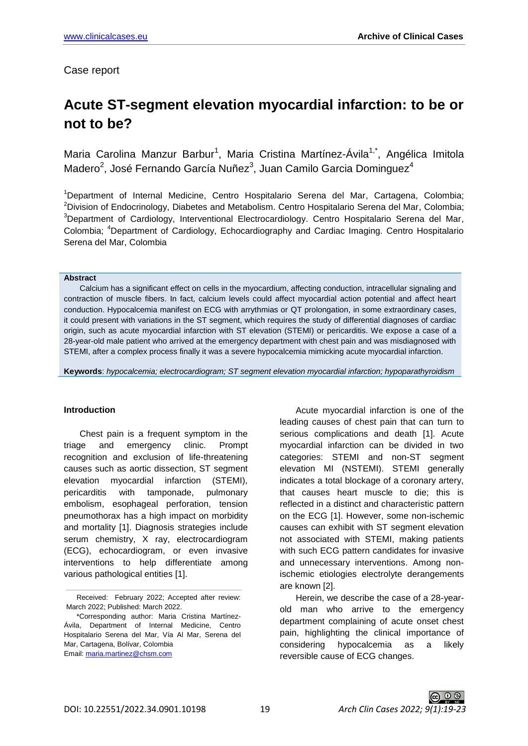Case report

# **Acute ST-segment elevation myocardial infarction: to be or not to be?**

Maria Carolina Manzur Barbur<sup>1</sup>, Maria Cristina Martínez-Ávila<sup>1,\*</sup>, Angélica Imitola Madero<sup>2</sup>, José Fernando García Nuñez<sup>3</sup>, Juan Camilo Garcia Dominguez<sup>4</sup>

<sup>1</sup>Department of Internal Medicine, Centro Hospitalario Serena del Mar, Cartagena, Colombia; <sup>2</sup>Division of Endocrinology, Diabetes and Metabolism. Centro Hospitalario Serena del Mar, Colombia; <sup>3</sup>Department of Cardiology, Interventional Electrocardiology. Centro Hospitalario Serena del Mar, Colombia; <sup>4</sup>Department of Cardiology, Echocardiography and Cardiac Imaging. Centro Hospitalario Serena del Mar, Colombia

#### **Abstract**

Calcium has a significant effect on cells in the myocardium, affecting conduction, intracellular signaling and contraction of muscle fibers. In fact, calcium levels could affect myocardial action potential and affect heart conduction. Hypocalcemia manifest on ECG with arrythmias or QT prolongation, in some extraordinary cases, it could present with variations in the ST segment, which requires the study of differential diagnoses of cardiac origin, such as acute myocardial infarction with ST elevation (STEMI) or pericarditis. We expose a case of a 28-year-old male patient who arrived at the emergency department with chest pain and was misdiagnosed with STEMI, after a complex process finally it was a severe hypocalcemia mimicking acute myocardial infarction.

**Keywords**: *hypocalcemia; electrocardiogram; ST segment elevation myocardial infarction; hypoparathyroidism*

#### **Introduction**

Chest pain is a frequent symptom in the triage and emergency clinic. Prompt recognition and exclusion of life-threatening causes such as aortic dissection, ST segment elevation myocardial infarction (STEMI), pericarditis with tamponade, pulmonary embolism, esophageal perforation, tension pneumothorax has a high impact on morbidity and mortality [1]. Diagnosis strategies include serum chemistry, X ray, electrocardiogram (ECG), echocardiogram, or even invasive interventions to help differentiate among various pathological entities [1].

Acute myocardial infarction is one of the leading causes of chest pain that can turn to serious complications and death [1]. Acute myocardial infarction can be divided in two categories: STEMI and non-ST segment elevation MI (NSTEMI). STEMI generally indicates a total blockage of a coronary artery, that causes heart muscle to die; this is reflected in a distinct and characteristic pattern on the ECG [1]. However, some non-ischemic causes can exhibit with ST segment elevation not associated with STEMI, making patients with such ECG pattern candidates for invasive and unnecessary interventions. Among nonischemic etiologies electrolyte derangements are known [2].

Herein, we describe the case of a 28-yearold man who arrive to the emergency department complaining of acute onset chest pain, highlighting the clinical importance of considering hypocalcemia as a likely reversible cause of ECG changes.

Received: February 2022; Accepted after review: March 2022; Published: March 2022.

<sup>\*</sup>Corresponding author: Maria Cristina Martínez-Ávila, Department of Internal Medicine, Centro Hospitalario Serena del Mar, Vía Al Mar, Serena del Mar, Cartagena, Bolívar, Colombia Email[: maria.martinez@chsm.com](mailto:maria.martinez@chsm.com)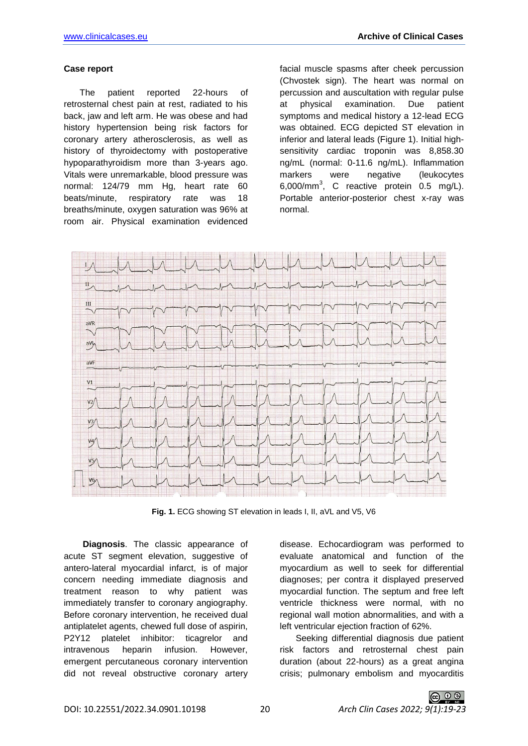## **Case report**

The patient reported 22-hours of retrosternal chest pain at rest, radiated to his back, jaw and left arm. He was obese and had history hypertension being risk factors for coronary artery atherosclerosis, as well as history of thyroidectomy with postoperative hypoparathyroidism more than 3-years ago. Vitals were unremarkable, blood pressure was normal: 124/79 mm Hg, heart rate 60 beats/minute, respiratory rate was 18 breaths/minute, oxygen saturation was 96% at room air. Physical examination evidenced

facial muscle spasms after cheek percussion (Chvostek sign). The heart was normal on percussion and auscultation with regular pulse at physical examination. Due patient symptoms and medical history a 12-lead ECG was obtained. ECG depicted ST elevation in inferior and lateral leads (Figure 1). Initial highsensitivity cardiac troponin was 8,858.30 ng/mL (normal: 0-11.6 ng/mL). Inflammation markers were negative (leukocytes 6,000/mm<sup>3</sup>, C reactive protein 0.5 mg/L). Portable anterior-posterior chest x-ray was normal.



**Fig. 1.** ECG showing ST elevation in leads I, II, aVL and V5, V6

**Diagnosis**. The classic appearance of acute ST segment elevation, suggestive of antero-lateral myocardial infarct, is of major concern needing immediate diagnosis and treatment reason to why patient was immediately transfer to coronary angiography. Before coronary intervention, he received dual antiplatelet agents, chewed full dose of aspirin, P2Y12 platelet inhibitor: ticagrelor and intravenous heparin infusion. However, emergent percutaneous coronary intervention did not reveal obstructive coronary artery

disease. Echocardiogram was performed to evaluate anatomical and function of the myocardium as well to seek for differential diagnoses; per contra it displayed preserved myocardial function. The septum and free left ventricle thickness were normal, with no regional wall motion abnormalities, and with a left ventricular ejection fraction of 62%.

Seeking differential diagnosis due patient risk factors and retrosternal chest pain duration (about 22-hours) as a great angina crisis; pulmonary embolism and myocarditis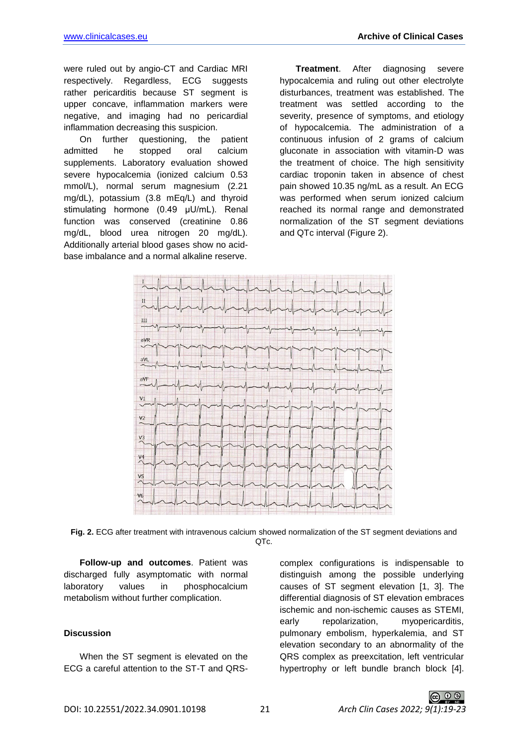were ruled out by angio-CT and Cardiac MRI respectively. Regardless, ECG suggests rather pericarditis because ST segment is upper concave, inflammation markers were negative, and imaging had no pericardial inflammation decreasing this suspicion.

On further questioning, the patient admitted he stopped oral calcium supplements. Laboratory evaluation showed severe hypocalcemia (ionized calcium 0.53 mmol/L), normal serum magnesium (2.21 mg/dL), potassium (3.8 mEq/L) and thyroid stimulating hormone (0.49 μU/mL). Renal function was conserved (creatinine 0.86 mg/dL, blood urea nitrogen 20 mg/dL). Additionally arterial blood gases show no acidbase imbalance and a normal alkaline reserve.

**Treatment**. After diagnosing severe hypocalcemia and ruling out other electrolyte disturbances, treatment was established. The treatment was settled according to the severity, presence of symptoms, and etiology of hypocalcemia. The administration of a continuous infusion of 2 grams of calcium gluconate in association with vitamin-D was the treatment of choice. The high sensitivity cardiac troponin taken in absence of chest pain showed 10.35 ng/mL as a result. An ECG was performed when serum ionized calcium reached its normal range and demonstrated normalization of the ST segment deviations and QTc interval (Figure 2).



**Fig. 2.** ECG after treatment with intravenous calcium showed normalization of the ST segment deviations and  $\Omega$ Tc.

**Follow-up and outcomes**. Patient was discharged fully asymptomatic with normal laboratory values in phosphocalcium metabolism without further complication.

## **Discussion**

When the ST segment is elevated on the ECG a careful attention to the ST-T and QRS- complex configurations is indispensable to distinguish among the possible underlying causes of ST segment elevation [1, 3]. The differential diagnosis of ST elevation embraces ischemic and non-ischemic causes as STEMI, early repolarization, myopericarditis, pulmonary embolism, hyperkalemia, and ST elevation secondary to an abnormality of the QRS complex as preexcitation, left ventricular hypertrophy or left bundle branch block [4].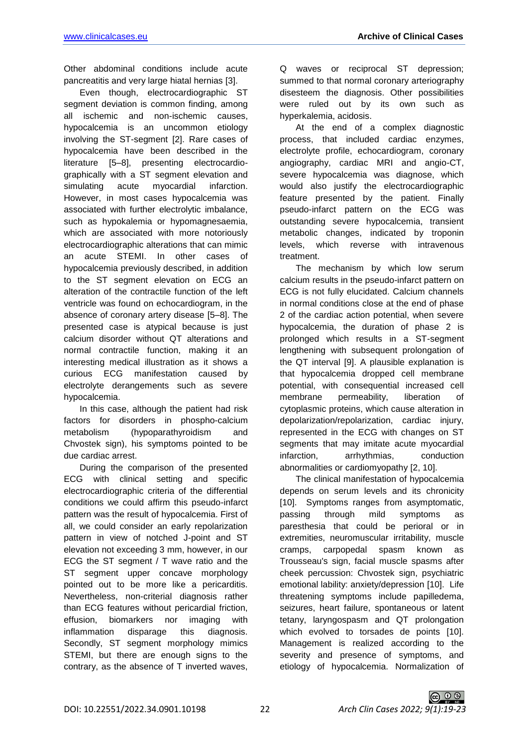Other abdominal conditions include acute pancreatitis and very large hiatal hernias [3].

Even though, electrocardiographic ST segment deviation is common finding, among all ischemic and non-ischemic causes, hypocalcemia is an uncommon etiology involving the ST-segment [2]. Rare cases of hypocalcemia have been described in the literature [5–8], presenting electrocardiographically with a ST segment elevation and simulating acute myocardial infarction. However, in most cases hypocalcemia was associated with further electrolytic imbalance, such as hypokalemia or hypomagnesaemia, which are associated with more notoriously electrocardiographic alterations that can mimic an acute STEMI. In other cases of hypocalcemia previously described, in addition to the ST segment elevation on ECG an alteration of the contractile function of the left ventricle was found on echocardiogram, in the absence of coronary artery disease [5–8]. The presented case is atypical because is just calcium disorder without QT alterations and normal contractile function, making it an interesting medical illustration as it shows a curious ECG manifestation caused by electrolyte derangements such as severe hypocalcemia.

In this case, although the patient had risk factors for disorders in phospho-calcium metabolism (hypoparathyroidism and Chvostek sign), his symptoms pointed to be due cardiac arrest.

During the comparison of the presented ECG with clinical setting and specific electrocardiographic criteria of the differential conditions we could affirm this pseudo-infarct pattern was the result of hypocalcemia. First of all, we could consider an early repolarization pattern in view of notched J-point and ST elevation not exceeding 3 mm, however, in our ECG the ST segment / T wave ratio and the ST segment upper concave morphology pointed out to be more like a pericarditis. Nevertheless, non-criterial diagnosis rather than ECG features without pericardial friction, effusion, biomarkers nor imaging with inflammation disparage this diagnosis. Secondly, ST segment morphology mimics STEMI, but there are enough signs to the contrary, as the absence of T inverted waves,

Q waves or reciprocal ST depression; summed to that normal coronary arteriography disesteem the diagnosis. Other possibilities were ruled out by its own such as hyperkalemia, acidosis.

At the end of a complex diagnostic process, that included cardiac enzymes, electrolyte profile, echocardiogram, coronary angiography, cardiac MRI and angio-CT, severe hypocalcemia was diagnose, which would also justify the electrocardiographic feature presented by the patient. Finally pseudo-infarct pattern on the ECG was outstanding severe hypocalcemia, transient metabolic changes, indicated by troponin levels, which reverse with intravenous treatment.

The mechanism by which low serum calcium results in the pseudo-infarct pattern on ECG is not fully elucidated. Calcium channels in normal conditions close at the end of phase 2 of the cardiac action potential, when severe hypocalcemia, the duration of phase 2 is prolonged which results in a ST-segment lengthening with subsequent prolongation of the QT interval [9]. A plausible explanation is that hypocalcemia dropped cell membrane potential, with consequential increased cell membrane permeability, liberation of cytoplasmic proteins, which cause alteration in depolarization/repolarization, cardiac injury, represented in the ECG with changes on ST segments that may imitate acute myocardial infarction, arrhythmias, conduction abnormalities or cardiomyopathy [2, 10].

The clinical manifestation of hypocalcemia depends on serum levels and its chronicity [10]. Symptoms ranges from asymptomatic, passing through mild symptoms as paresthesia that could be perioral or in extremities, neuromuscular irritability, muscle cramps, carpopedal spasm known as Trousseau's sign, facial muscle spasms after cheek percussion: Chvostek sign, psychiatric emotional lability: anxiety/depression [10]. Life threatening symptoms include papilledema, seizures, heart failure, spontaneous or latent tetany, laryngospasm and QT prolongation which evolved to torsades de points [10]. Management is realized according to the severity and presence of symptoms, and etiology of hypocalcemia. Normalization of